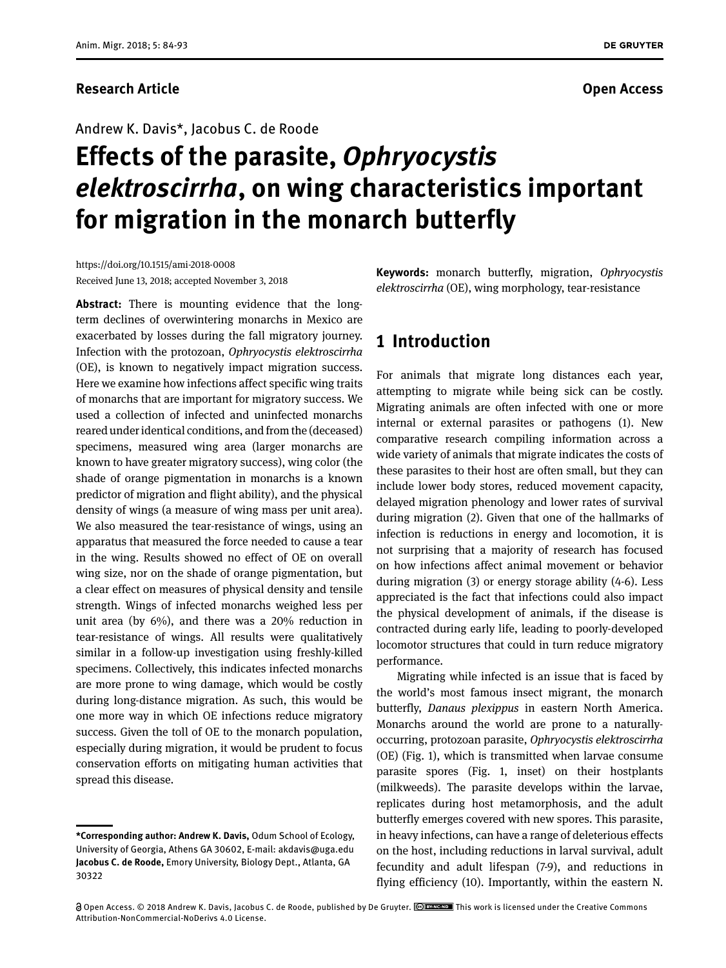Andrew K. Davis\*, Jacobus C. de Roode

# **Effects of the parasite,** *Ophryocystis elektroscirrha***, on wing characteristics important for migration in the monarch butterfly**

https://doi.org/10.1515/ami-2018-0008 Received June 13, 2018; accepted November 3, 2018

**Abstract:** There is mounting evidence that the longterm declines of overwintering monarchs in Mexico are exacerbated by losses during the fall migratory journey. Infection with the protozoan, *Ophryocystis elektroscirrha* (OE), is known to negatively impact migration success. Here we examine how infections affect specific wing traits of monarchs that are important for migratory success. We used a collection of infected and uninfected monarchs reared under identical conditions, and from the (deceased) specimens, measured wing area (larger monarchs are known to have greater migratory success), wing color (the shade of orange pigmentation in monarchs is a known predictor of migration and flight ability), and the physical density of wings (a measure of wing mass per unit area). We also measured the tear-resistance of wings, using an apparatus that measured the force needed to cause a tear in the wing. Results showed no effect of OE on overall wing size, nor on the shade of orange pigmentation, but a clear effect on measures of physical density and tensile strength. Wings of infected monarchs weighed less per unit area (by 6%), and there was a 20% reduction in tear-resistance of wings. All results were qualitatively similar in a follow-up investigation using freshly-killed specimens. Collectively, this indicates infected monarchs are more prone to wing damage, which would be costly during long-distance migration. As such, this would be one more way in which OE infections reduce migratory success. Given the toll of OE to the monarch population, especially during migration, it would be prudent to focus conservation efforts on mitigating human activities that spread this disease.

**Keywords:** monarch butterfly, migration, *Ophryocystis elektroscirrha* (OE), wing morphology, tear-resistance

## **1 Introduction**

For animals that migrate long distances each year, attempting to migrate while being sick can be costly. Migrating animals are often infected with one or more internal or external parasites or pathogens (1). New comparative research compiling information across a wide variety of animals that migrate indicates the costs of these parasites to their host are often small, but they can include lower body stores, reduced movement capacity, delayed migration phenology and lower rates of survival during migration (2). Given that one of the hallmarks of infection is reductions in energy and locomotion, it is not surprising that a majority of research has focused on how infections affect animal movement or behavior during migration (3) or energy storage ability (4-6). Less appreciated is the fact that infections could also impact the physical development of animals, if the disease is contracted during early life, leading to poorly-developed locomotor structures that could in turn reduce migratory performance.

Migrating while infected is an issue that is faced by the world's most famous insect migrant, the monarch butterfly, *Danaus plexippus* in eastern North America. Monarchs around the world are prone to a naturallyoccurring, protozoan parasite, *Ophryocystis elektroscirrha* (OE) (Fig. 1), which is transmitted when larvae consume parasite spores (Fig. 1, inset) on their hostplants (milkweeds). The parasite develops within the larvae, replicates during host metamorphosis, and the adult butterfly emerges covered with new spores. This parasite, in heavy infections, can have a range of deleterious effects on the host, including reductions in larval survival, adult fecundity and adult lifespan (7-9), and reductions in flying efficiency (10). Importantly, within the eastern N.

**DE GRUYTER** 

**<sup>\*</sup>Corresponding author: Andrew K. Davis,** Odum School of Ecology, University of Georgia, Athens GA 30602, E-mail: akdavis@uga.edu **Jacobus C. de Roode,** Emory University, Biology Dept., Atlanta, GA 30322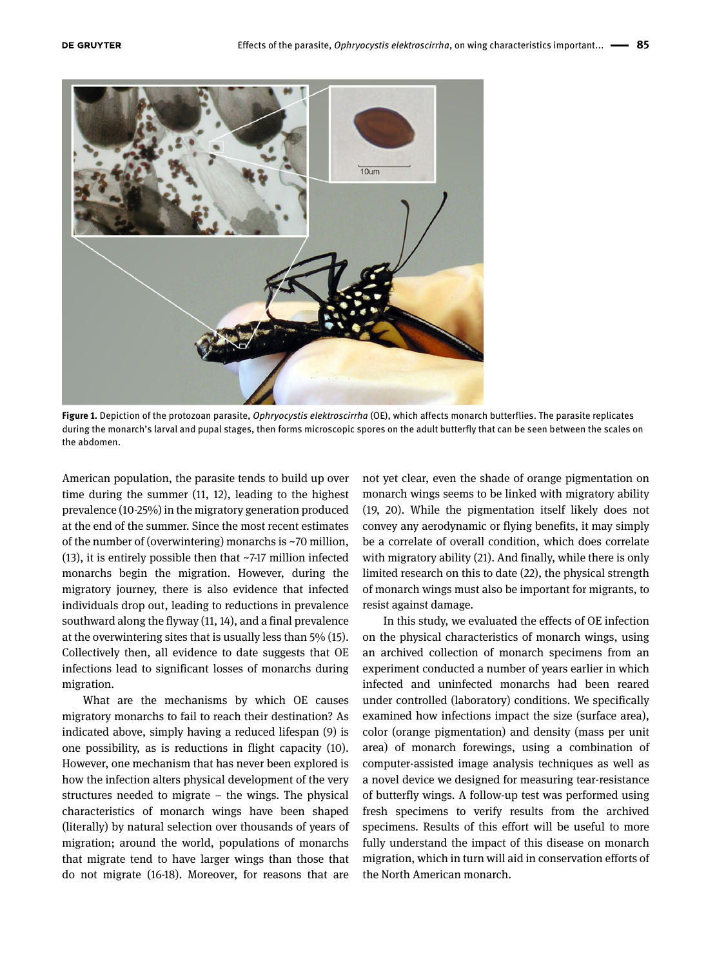

**Figure 1.** Depiction of the protozoan parasite, *Ophryocystis elektroscirrha* (OE), which affects monarch butterflies. The parasite replicates during the monarch's larval and pupal stages, then forms microscopic spores on the adult butterfly that can be seen between the scales on the abdomen.

American population, the parasite tends to build up over time during the summer (11, 12), leading to the highest prevalence (10-25%) in the migratory generation produced at the end of the summer. Since the most recent estimates of the number of (overwintering) monarchs is ~70 million, (13), it is entirely possible then that ~7-17 million infected monarchs begin the migration. However, during the migratory journey, there is also evidence that infected individuals drop out, leading to reductions in prevalence southward along the flyway (11, 14), and a final prevalence at the overwintering sites that is usually less than 5% (15). Collectively then, all evidence to date suggests that OE infections lead to significant losses of monarchs during migration.

What are the mechanisms by which OE causes migratory monarchs to fail to reach their destination? As indicated above, simply having a reduced lifespan (9) is one possibility, as is reductions in flight capacity (10). However, one mechanism that has never been explored is how the infection alters physical development of the very structures needed to migrate – the wings. The physical characteristics of monarch wings have been shaped (literally) by natural selection over thousands of years of migration; around the world, populations of monarchs that migrate tend to have larger wings than those that do not migrate (16-18). Moreover, for reasons that are

not yet clear, even the shade of orange pigmentation on monarch wings seems to be linked with migratory ability (19, 20). While the pigmentation itself likely does not convey any aerodynamic or flying benefits, it may simply be a correlate of overall condition, which does correlate with migratory ability (21). And finally, while there is only limited research on this to date (22), the physical strength of monarch wings must also be important for migrants, to resist against damage.

In this study, we evaluated the effects of OE infection on the physical characteristics of monarch wings, using an archived collection of monarch specimens from an experiment conducted a number of years earlier in which infected and uninfected monarchs had been reared under controlled (laboratory) conditions. We specifically examined how infections impact the size (surface area), color (orange pigmentation) and density (mass per unit area) of monarch forewings, using a combination of computer-assisted image analysis techniques as well as a novel device we designed for measuring tear-resistance of butterfly wings. A follow-up test was performed using fresh specimens to verify results from the archived specimens. Results of this effort will be useful to more fully understand the impact of this disease on monarch migration, which in turn will aid in conservation efforts of the North American monarch.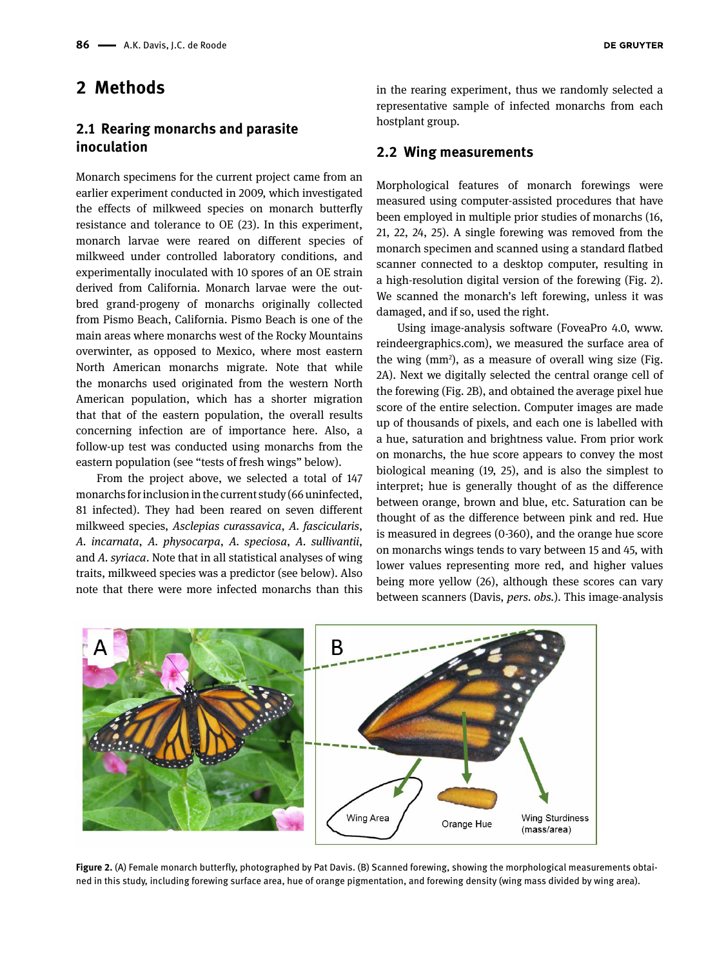# **2 Methods**

### **2.1 Rearing monarchs and parasite inoculation**

Monarch specimens for the current project came from an earlier experiment conducted in 2009, which investigated the effects of milkweed species on monarch butterfly resistance and tolerance to OE (23). In this experiment, monarch larvae were reared on different species of milkweed under controlled laboratory conditions, and experimentally inoculated with 10 spores of an OE strain derived from California. Monarch larvae were the outbred grand-progeny of monarchs originally collected from Pismo Beach, California. Pismo Beach is one of the main areas where monarchs west of the Rocky Mountains overwinter, as opposed to Mexico, where most eastern North American monarchs migrate. Note that while the monarchs used originated from the western North American population, which has a shorter migration that that of the eastern population, the overall results concerning infection are of importance here. Also, a follow-up test was conducted using monarchs from the eastern population (see "tests of fresh wings" below).

From the project above, we selected a total of 147 monarchs for inclusion in the current study (66 uninfected, 81 infected). They had been reared on seven different milkweed species, *Asclepias curassavica*, *A. fascicularis*, *A. incarnata*, *A. physocarpa*, *A. speciosa*, *A. sullivantii*, and *A. syriaca*. Note that in all statistical analyses of wing traits, milkweed species was a predictor (see below). Also note that there were more infected monarchs than this

in the rearing experiment, thus we randomly selected a representative sample of infected monarchs from each hostplant group.

#### **2.2 Wing measurements**

Morphological features of monarch forewings were measured using computer-assisted procedures that have been employed in multiple prior studies of monarchs (16, 21, 22, 24, 25). A single forewing was removed from the monarch specimen and scanned using a standard flatbed scanner connected to a desktop computer, resulting in a high-resolution digital version of the forewing (Fig. 2). We scanned the monarch's left forewing, unless it was damaged, and if so, used the right.

Using image-analysis software (FoveaPro 4.0, [www.](http://www.reindeergraphics.com) [reindeergraphics.com](http://www.reindeergraphics.com)), we measured the surface area of the wing  $(mm^2)$ , as a measure of overall wing size (Fig. 2A). Next we digitally selected the central orange cell of the forewing (Fig. 2B), and obtained the average pixel hue score of the entire selection. Computer images are made up of thousands of pixels, and each one is labelled with a hue, saturation and brightness value. From prior work on monarchs, the hue score appears to convey the most biological meaning (19, 25), and is also the simplest to interpret; hue is generally thought of as the difference between orange, brown and blue, etc. Saturation can be thought of as the difference between pink and red. Hue is measured in degrees (0-360), and the orange hue score on monarchs wings tends to vary between 15 and 45, with lower values representing more red, and higher values being more yellow (26), although these scores can vary between scanners (Davis, *pers. obs.*). This image-analysis



**Figure 2.** (A) Female monarch butterfly, photographed by Pat Davis. (B) Scanned forewing, showing the morphological measurements obtained in this study, including forewing surface area, hue of orange pigmentation, and forewing density (wing mass divided by wing area).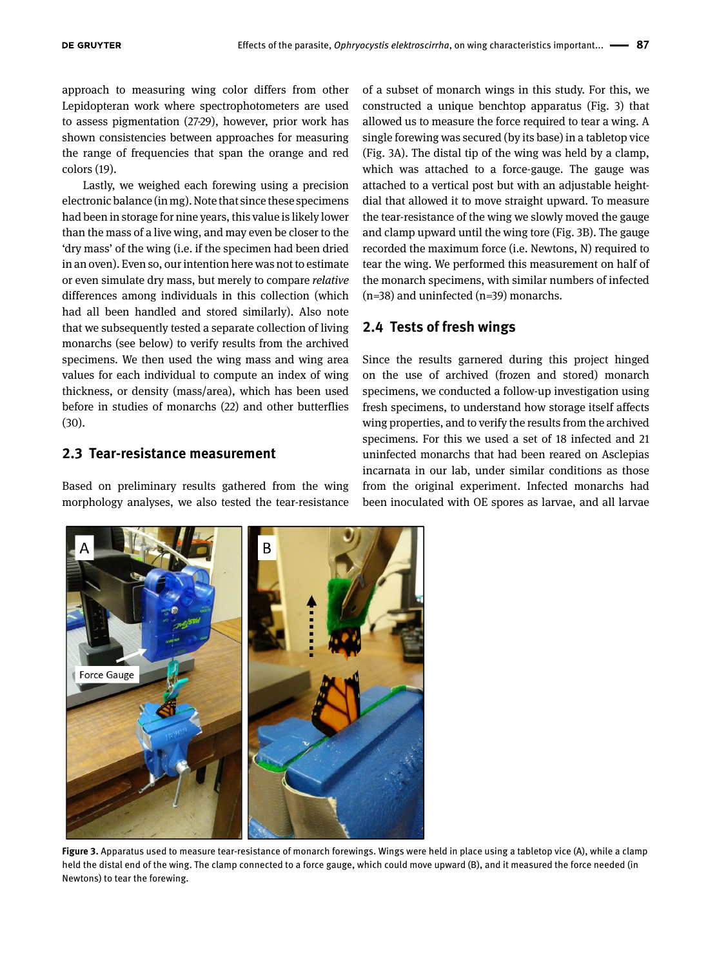approach to measuring wing color differs from other Lepidopteran work where spectrophotometers are used to assess pigmentation (27-29), however, prior work has shown consistencies between approaches for measuring the range of frequencies that span the orange and red colors (19).

Lastly, we weighed each forewing using a precision electronic balance (in mg). Note that since these specimens had been in storage for nine years, this value is likely lower than the mass of a live wing, and may even be closer to the 'dry mass' of the wing (i.e. if the specimen had been dried in an oven). Even so, our intention here was not to estimate or even simulate dry mass, but merely to compare *relative* differences among individuals in this collection (which had all been handled and stored similarly). Also note that we subsequently tested a separate collection of living monarchs (see below) to verify results from the archived specimens. We then used the wing mass and wing area values for each individual to compute an index of wing thickness, or density (mass/area), which has been used before in studies of monarchs (22) and other butterflies (30).

#### **2.3 Tear-resistance measurement**

Based on preliminary results gathered from the wing morphology analyses, we also tested the tear-resistance of a subset of monarch wings in this study. For this, we constructed a unique benchtop apparatus (Fig. 3) that allowed us to measure the force required to tear a wing. A single forewing was secured (by its base) in a tabletop vice (Fig. 3A). The distal tip of the wing was held by a clamp, which was attached to a force-gauge. The gauge was attached to a vertical post but with an adjustable heightdial that allowed it to move straight upward. To measure the tear-resistance of the wing we slowly moved the gauge and clamp upward until the wing tore (Fig. 3B). The gauge recorded the maximum force (i.e. Newtons, N) required to tear the wing. We performed this measurement on half of the monarch specimens, with similar numbers of infected (n=38) and uninfected (n=39) monarchs.

#### **2.4 Tests of fresh wings**

Since the results garnered during this project hinged on the use of archived (frozen and stored) monarch specimens, we conducted a follow-up investigation using fresh specimens, to understand how storage itself affects wing properties, and to verify the results from the archived specimens. For this we used a set of 18 infected and 21 uninfected monarchs that had been reared on Asclepias incarnata in our lab, under similar conditions as those from the original experiment. Infected monarchs had been inoculated with OE spores as larvae, and all larvae



**Figure 3.** Apparatus used to measure tear-resistance of monarch forewings. Wings were held in place using a tabletop vice (A), while a clamp held the distal end of the wing. The clamp connected to a force gauge, which could move upward (B), and it measured the force needed (in Newtons) to tear the forewing.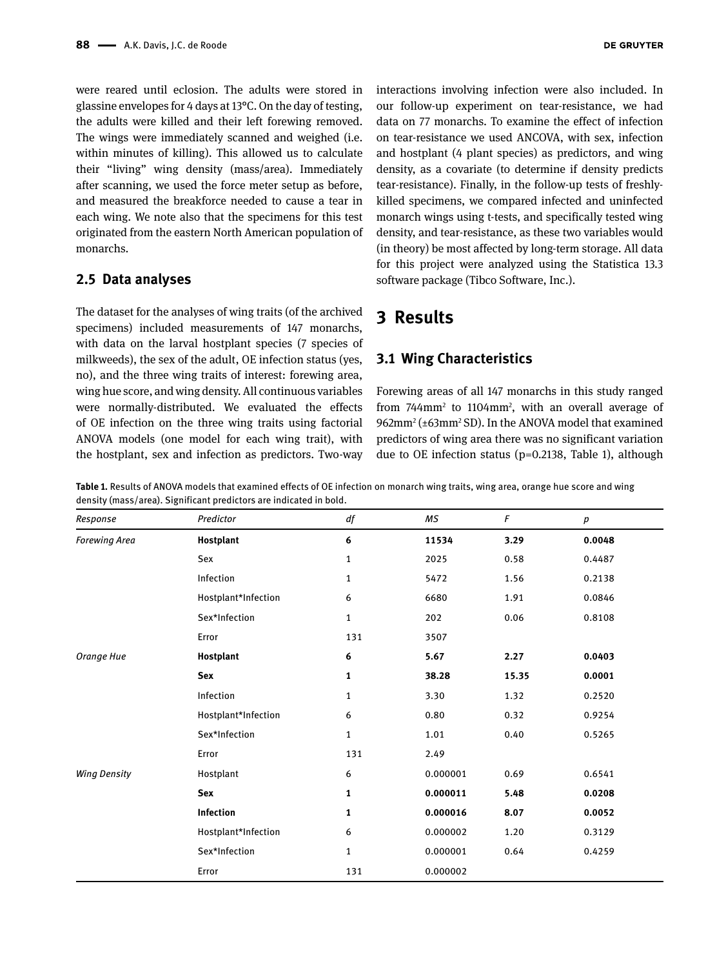were reared until eclosion. The adults were stored in glassine envelopes for 4 days at 13°C. On the day of testing, the adults were killed and their left forewing removed. The wings were immediately scanned and weighed (i.e. within minutes of killing). This allowed us to calculate their "living" wing density (mass/area). Immediately after scanning, we used the force meter setup as before, and measured the breakforce needed to cause a tear in each wing. We note also that the specimens for this test originated from the eastern North American population of monarchs.

#### **2.5 Data analyses**

The dataset for the analyses of wing traits (of the archived specimens) included measurements of 147 monarchs, with data on the larval hostplant species (7 species of milkweeds), the sex of the adult, OE infection status (yes, no), and the three wing traits of interest: forewing area, wing hue score, and wing density. All continuous variables were normally-distributed. We evaluated the effects of OE infection on the three wing traits using factorial ANOVA models (one model for each wing trait), with the hostplant, sex and infection as predictors. Two-way

interactions involving infection were also included. In our follow-up experiment on tear-resistance, we had data on 77 monarchs. To examine the effect of infection on tear-resistance we used ANCOVA, with sex, infection and hostplant (4 plant species) as predictors, and wing density, as a covariate (to determine if density predicts tear-resistance). Finally, in the follow-up tests of freshlykilled specimens, we compared infected and uninfected monarch wings using t-tests, and specifically tested wing density, and tear-resistance, as these two variables would (in theory) be most affected by long-term storage. All data for this project were analyzed using the Statistica 13.3 software package (Tibco Software, Inc.).

# **3 Results**

#### **3.1 Wing Characteristics**

Forewing areas of all 147 monarchs in this study ranged from 744mm2 to 1104mm2 , with an overall average of 962mm<sup>2</sup> (±63mm<sup>2</sup> SD). In the ANOVA model that examined predictors of wing area there was no significant variation due to OE infection status (p=0.2138, Table 1), although

**Table 1.** Results of ANOVA models that examined effects of OE infection on monarch wing traits, wing area, orange hue score and wing density (mass/area). Significant predictors are indicated in bold.

| Response             | Predictor           | df           | МS       | F     | $\boldsymbol{p}$ |
|----------------------|---------------------|--------------|----------|-------|------------------|
| <b>Forewing Area</b> | Hostplant           | 6            | 11534    | 3.29  | 0.0048           |
|                      | Sex                 | $\mathbf{1}$ | 2025     | 0.58  | 0.4487           |
|                      | Infection           | $\mathbf{1}$ | 5472     | 1.56  | 0.2138           |
|                      | Hostplant*Infection | 6            | 6680     | 1.91  | 0.0846           |
|                      | Sex*Infection       | 1            | 202      | 0.06  | 0.8108           |
|                      | Error               | 131          | 3507     |       |                  |
| Orange Hue           | Hostplant           | 6            | 5.67     | 2.27  | 0.0403           |
|                      | <b>Sex</b>          | 1            | 38.28    | 15.35 | 0.0001           |
|                      | Infection           | 1            | 3.30     | 1.32  | 0.2520           |
|                      | Hostplant*Infection | 6            | 0.80     | 0.32  | 0.9254           |
|                      | Sex*Infection       | $\mathbf{1}$ | 1.01     | 0.40  | 0.5265           |
|                      | Error               | 131          | 2.49     |       |                  |
| <b>Wing Density</b>  | Hostplant           | 6            | 0.000001 | 0.69  | 0.6541           |
|                      | Sex                 | 1            | 0.000011 | 5.48  | 0.0208           |
|                      | Infection           | 1            | 0.000016 | 8.07  | 0.0052           |
|                      | Hostplant*Infection | 6            | 0.000002 | 1.20  | 0.3129           |
|                      | Sex*Infection       | $\mathbf{1}$ | 0.000001 | 0.64  | 0.4259           |
|                      | Error               | 131          | 0.000002 |       |                  |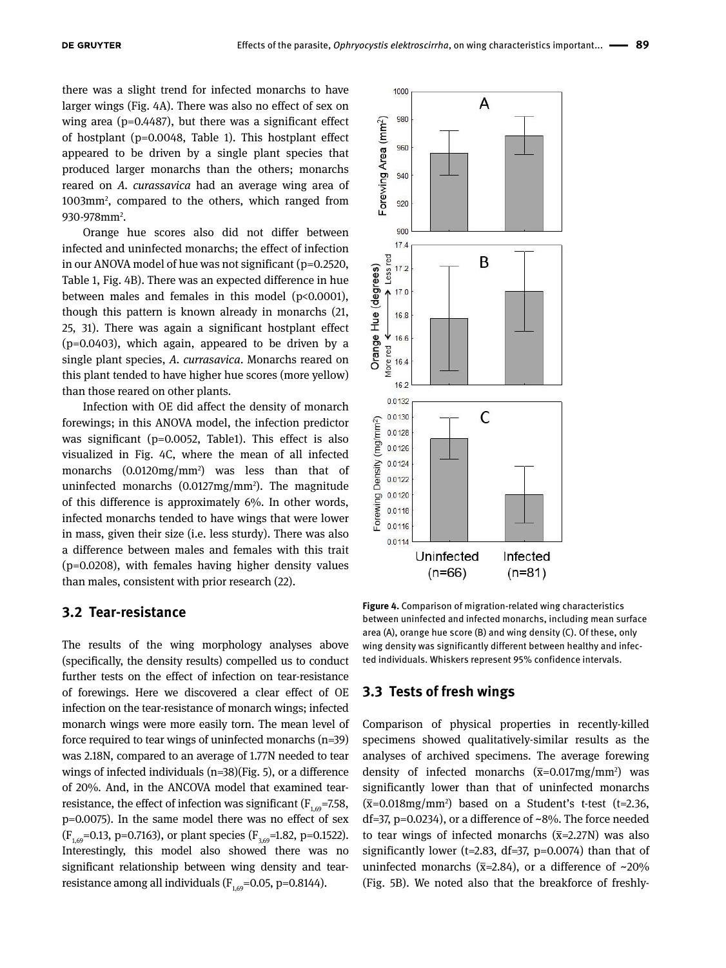there was a slight trend for infected monarchs to have larger wings (Fig. 4A). There was also no effect of sex on wing area (p=0.4487), but there was a significant effect of hostplant (p=0.0048, Table 1). This hostplant effect appeared to be driven by a single plant species that produced larger monarchs than the others; monarchs reared on *A. curassavica* had an average wing area of 1003mm2 , compared to the others, which ranged from 930-978mm<sup>2</sup>.

Orange hue scores also did not differ between infected and uninfected monarchs; the effect of infection in our ANOVA model of hue was not significant (p=0.2520, Table 1, Fig. 4B). There was an expected difference in hue between males and females in this model (p<0.0001), though this pattern is known already in monarchs (21, 25, 31). There was again a significant hostplant effect (p=0.0403), which again, appeared to be driven by a single plant species, *A. currasavica*. Monarchs reared on this plant tended to have higher hue scores (more yellow) than those reared on other plants.

Infection with OE did affect the density of monarch forewings; in this ANOVA model, the infection predictor was significant (p=0.0052, Table1). This effect is also visualized in Fig. 4C, where the mean of all infected monarchs (0.0120mg/mm2 ) was less than that of uninfected monarchs (0.0127mg/mm2 ). The magnitude of this difference is approximately 6%. In other words, infected monarchs tended to have wings that were lower in mass, given their size (i.e. less sturdy). There was also a difference between males and females with this trait (p=0.0208), with females having higher density values than males, consistent with prior research (22).

#### **3.2 Tear-resistance**

The results of the wing morphology analyses above (specifically, the density results) compelled us to conduct further tests on the effect of infection on tear-resistance of forewings. Here we discovered a clear effect of OE infection on the tear-resistance of monarch wings; infected monarch wings were more easily torn. The mean level of force required to tear wings of uninfected monarchs (n=39) was 2.18N, compared to an average of 1.77N needed to tear wings of infected individuals (n=38)(Fig. 5), or a difference of 20%. And, in the ANCOVA model that examined tearresistance, the effect of infection was significant ( $F_{1,69}$ =7.58, p=0.0075). In the same model there was no effect of sex  $(F_{1,69}=0.13, p=0.7163)$ , or plant species  $(F_{3,69}=1.82, p=0.1522)$ . Interestingly, this model also showed there was no significant relationship between wing density and tearresistance among all individuals  $(F_{1,69}=0.05, p=0.8144)$ .



**Figure 4.** Comparison of migration-related wing characteristics between uninfected and infected monarchs, including mean surface area (A), orange hue score (B) and wing density (C). Of these, only wing density was significantly different between healthy and infected individuals. Whiskers represent 95% confidence intervals.

#### **3.3 Tests of fresh wings**

Comparison of physical properties in recently-killed specimens showed qualitatively-similar results as the analyses of archived specimens. The average forewing density of infected monarchs  $(\bar{x}=0.017mg/mm^2)$  was significantly lower than that of uninfected monarchs  $(\overline{x}=0.018\,\text{mg/mm}^2)$  based on a Student's t-test (t=2.36, df=37, p=0.0234), or a difference of ~8%. The force needed to tear wings of infected monarchs  $(\bar{x}=2.27N)$  was also significantly lower ( $t=2.83$ ,  $df=37$ ,  $p=0.0074$ ) than that of uninfected monarchs ( $\bar{x}$ =2.84), or a difference of ~20% (Fig. 5B). We noted also that the breakforce of freshly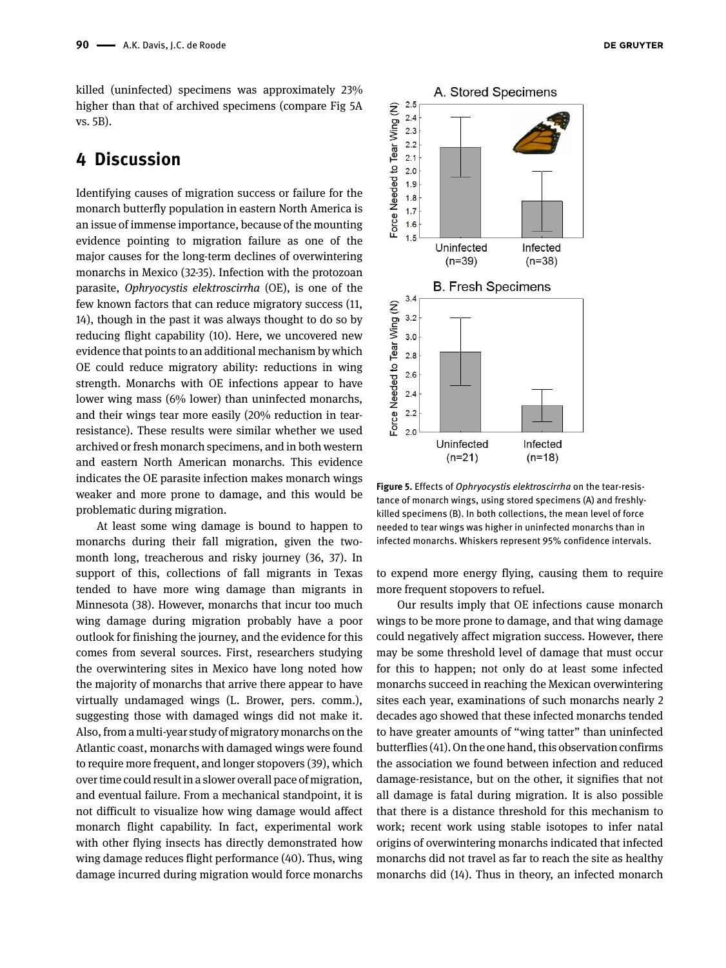killed (uninfected) specimens was approximately 23% higher than that of archived specimens (compare Fig 5A vs. 5B).

# **4 Discussion**

Identifying causes of migration success or failure for the monarch butterfly population in eastern North America is an issue of immense importance, because of the mounting evidence pointing to migration failure as one of the major causes for the long-term declines of overwintering monarchs in Mexico (32-35). Infection with the protozoan parasite, *Ophryocystis elektroscirrha* (OE), is one of the few known factors that can reduce migratory success (11, 14), though in the past it was always thought to do so by reducing flight capability (10). Here, we uncovered new evidence that points to an additional mechanism by which OE could reduce migratory ability: reductions in wing strength. Monarchs with OE infections appear to have lower wing mass (6% lower) than uninfected monarchs, and their wings tear more easily (20% reduction in tearresistance). These results were similar whether we used archived or fresh monarch specimens, and in both western and eastern North American monarchs. This evidence indicates the OE parasite infection makes monarch wings weaker and more prone to damage, and this would be problematic during migration.

At least some wing damage is bound to happen to monarchs during their fall migration, given the twomonth long, treacherous and risky journey (36, 37). In support of this, collections of fall migrants in Texas tended to have more wing damage than migrants in Minnesota (38). However, monarchs that incur too much wing damage during migration probably have a poor outlook for finishing the journey, and the evidence for this comes from several sources. First, researchers studying the overwintering sites in Mexico have long noted how the majority of monarchs that arrive there appear to have virtually undamaged wings (L. Brower, pers. comm.), suggesting those with damaged wings did not make it. Also, from a multi-year study of migratory monarchs on the Atlantic coast, monarchs with damaged wings were found to require more frequent, and longer stopovers (39), which over time could result in a slower overall pace of migration, and eventual failure. From a mechanical standpoint, it is not difficult to visualize how wing damage would affect monarch flight capability. In fact, experimental work with other flying insects has directly demonstrated how wing damage reduces flight performance (40). Thus, wing damage incurred during migration would force monarchs



**Figure 5.** Effects of *Ophryocystis elektroscirrha* on the tear-resistance of monarch wings, using stored specimens (A) and freshlykilled specimens (B). In both collections, the mean level of force needed to tear wings was higher in uninfected monarchs than in infected monarchs. Whiskers represent 95% confidence intervals.

to expend more energy flying, causing them to require more frequent stopovers to refuel.

Our results imply that OE infections cause monarch wings to be more prone to damage, and that wing damage could negatively affect migration success. However, there may be some threshold level of damage that must occur for this to happen; not only do at least some infected monarchs succeed in reaching the Mexican overwintering sites each year, examinations of such monarchs nearly 2 decades ago showed that these infected monarchs tended to have greater amounts of "wing tatter" than uninfected butterflies (41). On the one hand, this observation confirms the association we found between infection and reduced damage-resistance, but on the other, it signifies that not all damage is fatal during migration. It is also possible that there is a distance threshold for this mechanism to work; recent work using stable isotopes to infer natal origins of overwintering monarchs indicated that infected monarchs did not travel as far to reach the site as healthy monarchs did (14). Thus in theory, an infected monarch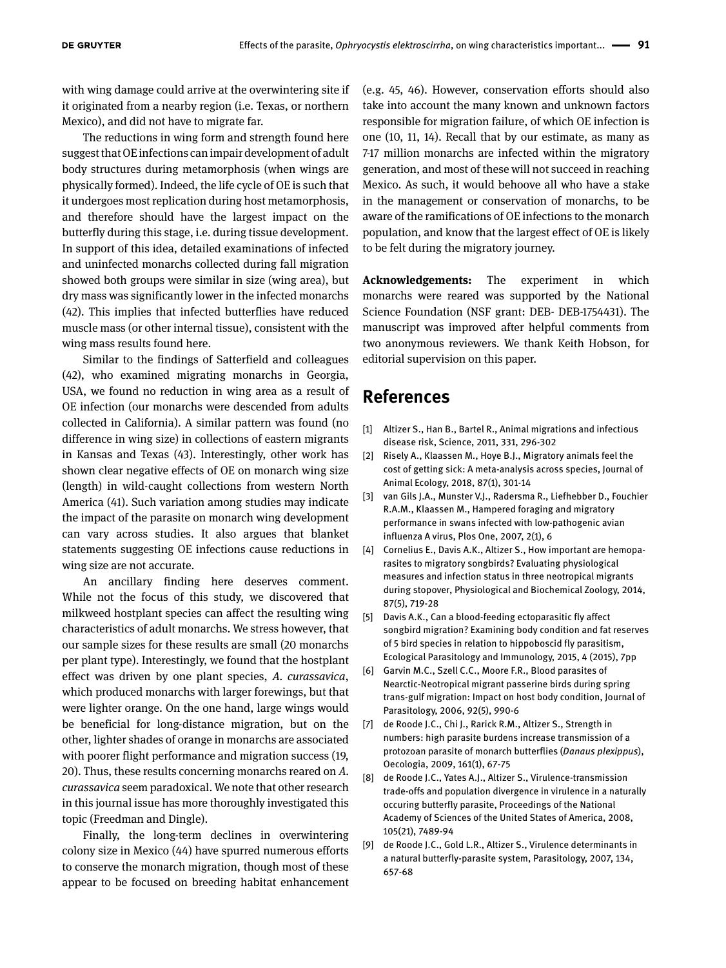with wing damage could arrive at the overwintering site if it originated from a nearby region (i.e. Texas, or northern Mexico), and did not have to migrate far.

The reductions in wing form and strength found here suggest that OE infections can impair development of adult body structures during metamorphosis (when wings are physically formed). Indeed, the life cycle of OE is such that it undergoes most replication during host metamorphosis, and therefore should have the largest impact on the butterfly during this stage, i.e. during tissue development. In support of this idea, detailed examinations of infected and uninfected monarchs collected during fall migration showed both groups were similar in size (wing area), but dry mass was significantly lower in the infected monarchs (42). This implies that infected butterflies have reduced muscle mass (or other internal tissue), consistent with the wing mass results found here.

Similar to the findings of Satterfield and colleagues (42), who examined migrating monarchs in Georgia, USA, we found no reduction in wing area as a result of OE infection (our monarchs were descended from adults collected in California). A similar pattern was found (no difference in wing size) in collections of eastern migrants in Kansas and Texas (43). Interestingly, other work has shown clear negative effects of OE on monarch wing size (length) in wild-caught collections from western North America (41). Such variation among studies may indicate the impact of the parasite on monarch wing development can vary across studies. It also argues that blanket statements suggesting OE infections cause reductions in wing size are not accurate.

An ancillary finding here deserves comment. While not the focus of this study, we discovered that milkweed hostplant species can affect the resulting wing characteristics of adult monarchs. We stress however, that our sample sizes for these results are small (20 monarchs per plant type). Interestingly, we found that the hostplant effect was driven by one plant species, *A. curassavica*, which produced monarchs with larger forewings, but that were lighter orange. On the one hand, large wings would be beneficial for long-distance migration, but on the other, lighter shades of orange in monarchs are associated with poorer flight performance and migration success (19, 20). Thus, these results concerning monarchs reared on *A. curassavica* seem paradoxical. We note that other research in this journal issue has more thoroughly investigated this topic (Freedman and Dingle).

Finally, the long-term declines in overwintering colony size in Mexico (44) have spurred numerous efforts to conserve the monarch migration, though most of these appear to be focused on breeding habitat enhancement

(e.g. 45, 46). However, conservation efforts should also take into account the many known and unknown factors responsible for migration failure, of which OE infection is one (10, 11, 14). Recall that by our estimate, as many as 7-17 million monarchs are infected within the migratory generation, and most of these will not succeed in reaching Mexico. As such, it would behoove all who have a stake in the management or conservation of monarchs, to be aware of the ramifications of OE infections to the monarch population, and know that the largest effect of OE is likely to be felt during the migratory journey.

**Acknowledgements:** The experiment in which monarchs were reared was supported by the National Science Foundation (NSF grant: DEB- DEB-1754431). The manuscript was improved after helpful comments from two anonymous reviewers. We thank Keith Hobson, for editorial supervision on this paper.

# **References**

- [1] Altizer S., Han B., Bartel R., Animal migrations and infectious disease risk, Science, 2011, 331, 296-302
- [2] Risely A., Klaassen M., Hoye B.J., Migratory animals feel the cost of getting sick: A meta-analysis across species, Journal of Animal Ecology, 2018, 87(1), 301-14
- [3] van Gils J.A., Munster V.J., Radersma R., Liefhebber D., Fouchier R.A.M., Klaassen M., Hampered foraging and migratory performance in swans infected with low-pathogenic avian influenza A virus, Plos One, 2007, 2(1), 6
- [4] Cornelius E., Davis A.K., Altizer S., How important are hemoparasites to migratory songbirds? Evaluating physiological measures and infection status in three neotropical migrants during stopover, Physiological and Biochemical Zoology, 2014, 87(5), 719-28
- [5] Davis A.K., Can a blood-feeding ectoparasitic fly affect songbird migration? Examining body condition and fat reserves of 5 bird species in relation to hippoboscid fly parasitism, Ecological Parasitology and Immunology, 2015, 4 (2015), 7pp
- [6] Garvin M.C., Szell C.C., Moore F.R., Blood parasites of Nearctic-Neotropical migrant passerine birds during spring trans-gulf migration: Impact on host body condition, Journal of Parasitology, 2006, 92(5), 990-6
- [7] de Roode J.C., Chi J., Rarick R.M., Altizer S., Strength in numbers: high parasite burdens increase transmission of a protozoan parasite of monarch butterflies (*Danaus plexippus*), Oecologia, 2009, 161(1), 67-75
- [8] de Roode J.C., Yates A.J., Altizer S., Virulence-transmission trade-offs and population divergence in virulence in a naturally occuring butterfly parasite, Proceedings of the National Academy of Sciences of the United States of America, 2008, 105(21), 7489-94
- [9] de Roode J.C., Gold L.R., Altizer S., Virulence determinants in a natural butterfly-parasite system, Parasitology, 2007, 134, 657-68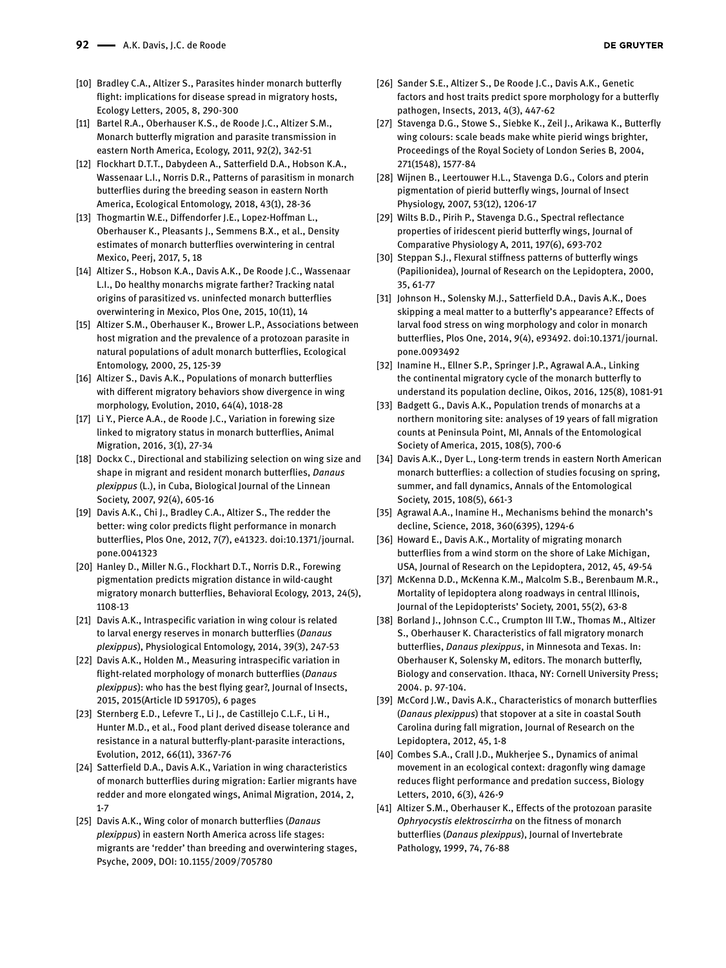- [10] Bradley C.A., Altizer S., Parasites hinder monarch butterfly flight: implications for disease spread in migratory hosts, Ecology Letters, 2005, 8, 290-300
- [11] Bartel R.A., Oberhauser K.S., de Roode J.C., Altizer S.M., Monarch butterfly migration and parasite transmission in eastern North America, Ecology, 2011, 92(2), 342-51
- [12] Flockhart D.T.T., Dabydeen A., Satterfield D.A., Hobson K.A., Wassenaar L.I., Norris D.R., Patterns of parasitism in monarch butterflies during the breeding season in eastern North America, Ecological Entomology, 2018, 43(1), 28-36
- [13] Thogmartin W.E., Diffendorfer J.E., Lopez-Hoffman L., Oberhauser K., Pleasants J., Semmens B.X., et al., Density estimates of monarch butterflies overwintering in central Mexico, Peerj, 2017, 5, 18
- [14] Altizer S., Hobson K.A., Davis A.K., De Roode J.C., Wassenaar L.I., Do healthy monarchs migrate farther? Tracking natal origins of parasitized vs. uninfected monarch butterflies overwintering in Mexico, Plos One, 2015, 10(11), 14
- [15] Altizer S.M., Oberhauser K., Brower L.P., Associations between host migration and the prevalence of a protozoan parasite in natural populations of adult monarch butterflies, Ecological Entomology, 2000, 25, 125-39
- [16] Altizer S., Davis A.K., Populations of monarch butterflies with different migratory behaviors show divergence in wing morphology, Evolution, 2010, 64(4), 1018-28
- [17] Li Y., Pierce A.A., de Roode J.C., Variation in forewing size linked to migratory status in monarch butterflies, Animal Migration, 2016, 3(1), 27-34
- [18] Dockx C., Directional and stabilizing selection on wing size and shape in migrant and resident monarch butterflies, *Danaus plexippus* (L.), in Cuba, Biological Journal of the Linnean Society, 2007, 92(4), 605-16
- [19] Davis A.K., Chi J., Bradley C.A., Altizer S., The redder the better: wing color predicts flight performance in monarch butterflies, Plos One, 2012, 7(7), e41323. doi:10.1371/journal. pone.0041323
- [20] Hanley D., Miller N.G., Flockhart D.T., Norris D.R., Forewing pigmentation predicts migration distance in wild-caught migratory monarch butterflies, Behavioral Ecology, 2013, 24(5), 1108-13
- [21] Davis A.K., Intraspecific variation in wing colour is related to larval energy reserves in monarch butterflies (*Danaus plexippus*), Physiological Entomology, 2014, 39(3), 247-53
- [22] Davis A.K., Holden M., Measuring intraspecific variation in flight-related morphology of monarch butterflies (*Danaus plexippus*): who has the best flying gear?, Journal of Insects, 2015, 2015(Article ID 591705), 6 pages
- [23] Sternberg E.D., Lefevre T., Li J., de Castillejo C.L.F., Li H., Hunter M.D., et al., Food plant derived disease tolerance and resistance in a natural butterfly-plant-parasite interactions, Evolution, 2012, 66(11), 3367-76
- [24] Satterfield D.A., Davis A.K., Variation in wing characteristics of monarch butterflies during migration: Earlier migrants have redder and more elongated wings, Animal Migration, 2014, 2, 1-7
- [25] Davis A.K., Wing color of monarch butterflies (*Danaus plexippus*) in eastern North America across life stages: migrants are 'redder' than breeding and overwintering stages, Psyche, 2009, DOI: 10.1155/2009/705780
- [26] Sander S.E., Altizer S., De Roode J.C., Davis A.K., Genetic factors and host traits predict spore morphology for a butterfly pathogen, Insects, 2013, 4(3), 447-62
- [27] Stavenga D.G., Stowe S., Siebke K., Zeil J., Arikawa K., Butterfly wing colours: scale beads make white pierid wings brighter, Proceedings of the Royal Society of London Series B, 2004, 271(1548), 1577-84
- [28] Wijnen B., Leertouwer H.L., Stavenga D.G., Colors and pterin pigmentation of pierid butterfly wings, Journal of Insect Physiology, 2007, 53(12), 1206-17
- [29] Wilts B.D., Pirih P., Stavenga D.G., Spectral reflectance properties of iridescent pierid butterfly wings, Journal of Comparative Physiology A, 2011, 197(6), 693-702
- [30] Steppan S.J., Flexural stiffness patterns of butterfly wings (Papilionidea), Journal of Research on the Lepidoptera, 2000, 35, 61-77
- [31] Johnson H., Solensky M.J., Satterfield D.A., Davis A.K., Does skipping a meal matter to a butterfly's appearance? Effects of larval food stress on wing morphology and color in monarch butterflies, Plos One, 2014, 9(4), e93492. doi:10.1371/journal. pone.0093492
- [32] Inamine H., Ellner S.P., Springer J.P., Agrawal A.A., Linking the continental migratory cycle of the monarch butterfly to understand its population decline, Oikos, 2016, 125(8), 1081-91
- [33] Badgett G., Davis A.K., Population trends of monarchs at a northern monitoring site: analyses of 19 years of fall migration counts at Peninsula Point, MI, Annals of the Entomological Society of America, 2015, 108(5), 700-6
- [34] Davis A.K., Dyer L., Long-term trends in eastern North American monarch butterflies: a collection of studies focusing on spring, summer, and fall dynamics, Annals of the Entomological Society, 2015, 108(5), 661-3
- [35] Agrawal A.A., Inamine H., Mechanisms behind the monarch's decline, Science, 2018, 360(6395), 1294-6
- [36] Howard E., Davis A.K., Mortality of migrating monarch butterflies from a wind storm on the shore of Lake Michigan, USA, Journal of Research on the Lepidoptera, 2012, 45, 49-54
- [37] McKenna D.D., McKenna K.M., Malcolm S.B., Berenbaum M.R., Mortality of lepidoptera along roadways in central Illinois, Journal of the Lepidopterists' Society, 2001, 55(2), 63-8
- [38] Borland J., Johnson C.C., Crumpton III T.W., Thomas M., Altizer S., Oberhauser K. Characteristics of fall migratory monarch butterflies, *Danaus plexippus*, in Minnesota and Texas. In: Oberhauser K, Solensky M, editors. The monarch butterfly, Biology and conservation. Ithaca, NY: Cornell University Press; 2004. p. 97-104.
- [39] McCord J.W., Davis A.K., Characteristics of monarch butterflies (*Danaus plexippus*) that stopover at a site in coastal South Carolina during fall migration, Journal of Research on the Lepidoptera, 2012, 45, 1-8
- [40] Combes S.A., Crall J.D., Mukherjee S., Dynamics of animal movement in an ecological context: dragonfly wing damage reduces flight performance and predation success, Biology Letters, 2010, 6(3), 426-9
- [41] Altizer S.M., Oberhauser K., Effects of the protozoan parasite *Ophryocystis elektroscirrha* on the fitness of monarch butterflies (*Danaus plexippus*), Journal of Invertebrate Pathology, 1999, 74, 76-88